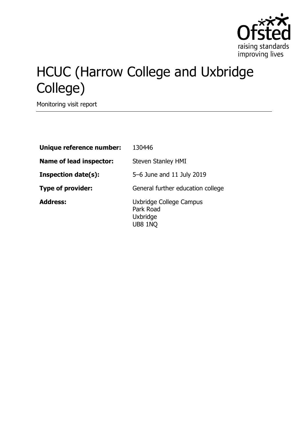

# HCUC (Harrow College and Uxbridge College)

Monitoring visit report

| Unique reference number:       | 130446                                                             |
|--------------------------------|--------------------------------------------------------------------|
| <b>Name of lead inspector:</b> | <b>Steven Stanley HMI</b>                                          |
| <b>Inspection date(s):</b>     | 5-6 June and 11 July 2019                                          |
| <b>Type of provider:</b>       | General further education college                                  |
| <b>Address:</b>                | Uxbridge College Campus<br>Park Road<br>Uxbridge<br><b>UB8 1NQ</b> |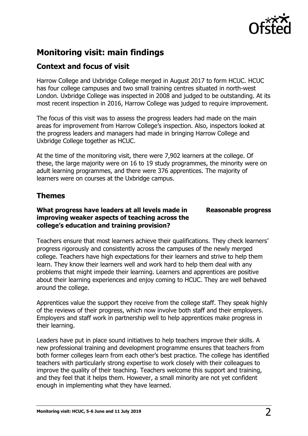

# **Monitoring visit: main findings**

# **Context and focus of visit**

Harrow College and Uxbridge College merged in August 2017 to form HCUC. HCUC has four college campuses and two small training centres situated in north-west London. Uxbridge College was inspected in 2008 and judged to be outstanding. At its most recent inspection in 2016, Harrow College was judged to require improvement.

The focus of this visit was to assess the progress leaders had made on the main areas for improvement from Harrow College's inspection. Also, inspectors looked at the progress leaders and managers had made in bringing Harrow College and Uxbridge College together as HCUC.

At the time of the monitoring visit, there were 7,902 learners at the college. Of these, the large majority were on 16 to 19 study programmes, the minority were on adult learning programmes, and there were 376 apprentices. The majority of learners were on courses at the Uxbridge campus.

# **Themes**

## **What progress have leaders at all levels made in improving weaker aspects of teaching across the college's education and training provision?**

**Reasonable progress**

Teachers ensure that most learners achieve their qualifications. They check learners' progress rigorously and consistently across the campuses of the newly merged college. Teachers have high expectations for their learners and strive to help them learn. They know their learners well and work hard to help them deal with any problems that might impede their learning. Learners and apprentices are positive about their learning experiences and enjoy coming to HCUC. They are well behaved around the college.

Apprentices value the support they receive from the college staff. They speak highly of the reviews of their progress, which now involve both staff and their employers. Employers and staff work in partnership well to help apprentices make progress in their learning.

Leaders have put in place sound initiatives to help teachers improve their skills. A new professional training and development programme ensures that teachers from both former colleges learn from each other's best practice. The college has identified teachers with particularly strong expertise to work closely with their colleagues to improve the quality of their teaching. Teachers welcome this support and training, and they feel that it helps them. However, a small minority are not yet confident enough in implementing what they have learned.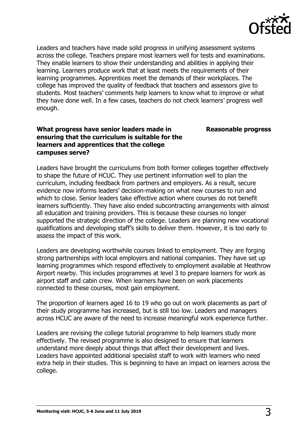

Leaders and teachers have made solid progress in unifying assessment systems across the college. Teachers prepare most learners well for tests and examinations. They enable learners to show their understanding and abilities in applying their learning. Learners produce work that at least meets the requirements of their learning programmes. Apprentices meet the demands of their workplaces. The college has improved the quality of feedback that teachers and assessors give to students. Most teachers' comments help learners to know what to improve or what they have done well. In a few cases, teachers do not check learners' progress well enough.

## **What progress have senior leaders made in ensuring that the curriculum is suitable for the learners and apprentices that the college campuses serve?**

**Reasonable progress**

Leaders have brought the curriculums from both former colleges together effectively to shape the future of HCUC. They use pertinent information well to plan the curriculum, including feedback from partners and employers. As a result, secure evidence now informs leaders' decision-making on what new courses to run and which to close. Senior leaders take effective action where courses do not benefit learners sufficiently. They have also ended subcontracting arrangements with almost all education and training providers. This is because these courses no longer supported the strategic direction of the college. Leaders are planning new vocational qualifications and developing staff's skills to deliver them. However, it is too early to assess the impact of this work.

Leaders are developing worthwhile courses linked to employment. They are forging strong partnerships with local employers and national companies. They have set up learning programmes which respond effectively to employment available at Heathrow Airport nearby. This includes programmes at level 3 to prepare learners for work as airport staff and cabin crew. When learners have been on work placements connected to these courses, most gain employment.

The proportion of learners aged 16 to 19 who go out on work placements as part of their study programme has increased, but is still too low. Leaders and managers across HCUC are aware of the need to increase meaningful work experience further.

Leaders are revising the college tutorial programme to help learners study more effectively. The revised programme is also designed to ensure that learners understand more deeply about things that affect their development and lives. Leaders have appointed additional specialist staff to work with learners who need extra help in their studies. This is beginning to have an impact on learners across the college.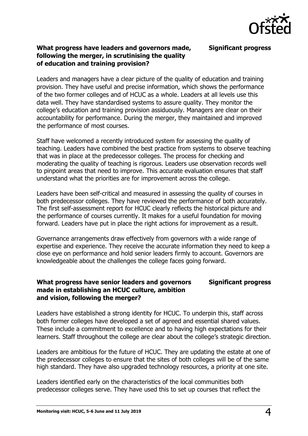

#### **Significant progress**

#### **What progress have leaders and governors made, following the merger, in scrutinising the quality of education and training provision?**

Leaders and managers have a clear picture of the quality of education and training provision. They have useful and precise information, which shows the performance of the two former colleges and of HCUC as a whole. Leaders at all levels use this data well. They have standardised systems to assure quality. They monitor the college's education and training provision assiduously. Managers are clear on their accountability for performance. During the merger, they maintained and improved the performance of most courses.

Staff have welcomed a recently introduced system for assessing the quality of teaching. Leaders have combined the best practice from systems to observe teaching that was in place at the predecessor colleges. The process for checking and moderating the quality of teaching is rigorous. Leaders use observation records well to pinpoint areas that need to improve. This accurate evaluation ensures that staff understand what the priorities are for improvement across the college.

Leaders have been self-critical and measured in assessing the quality of courses in both predecessor colleges. They have reviewed the performance of both accurately. The first self-assessment report for HCUC clearly reflects the historical picture and the performance of courses currently. It makes for a useful foundation for moving forward. Leaders have put in place the right actions for improvement as a result.

Governance arrangements draw effectively from governors with a wide range of expertise and experience. They receive the accurate information they need to keep a close eye on performance and hold senior leaders firmly to account. Governors are knowledgeable about the challenges the college faces going forward.

#### **What progress have senior leaders and governors made in establishing an HCUC culture, ambition and vision, following the merger? Significant progress**

Leaders have established a strong identity for HCUC. To underpin this, staff across both former colleges have developed a set of agreed and essential shared values. These include a commitment to excellence and to having high expectations for their learners. Staff throughout the college are clear about the college's strategic direction.

Leaders are ambitious for the future of HCUC. They are updating the estate at one of the predecessor colleges to ensure that the sites of both colleges will be of the same high standard. They have also upgraded technology resources, a priority at one site.

Leaders identified early on the characteristics of the local communities both predecessor colleges serve. They have used this to set up courses that reflect the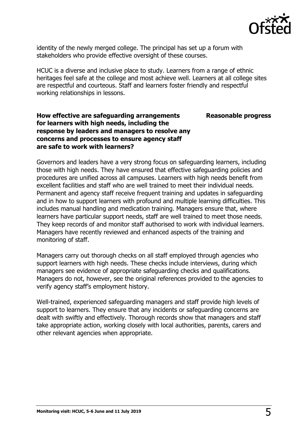

**Reasonable progress**

identity of the newly merged college. The principal has set up a forum with stakeholders who provide effective oversight of these courses.

HCUC is a diverse and inclusive place to study. Learners from a range of ethnic heritages feel safe at the college and most achieve well. Learners at all college sites are respectful and courteous. Staff and learners foster friendly and respectful working relationships in lessons.

## **How effective are safeguarding arrangements for learners with high needs, including the response by leaders and managers to resolve any concerns and processes to ensure agency staff are safe to work with learners?**

Governors and leaders have a very strong focus on safeguarding learners, including those with high needs. They have ensured that effective safeguarding policies and procedures are unified across all campuses. Learners with high needs benefit from excellent facilities and staff who are well trained to meet their individual needs. Permanent and agency staff receive frequent training and updates in safeguarding and in how to support learners with profound and multiple learning difficulties. This includes manual handling and medication training. Managers ensure that, where learners have particular support needs, staff are well trained to meet those needs. They keep records of and monitor staff authorised to work with individual learners. Managers have recently reviewed and enhanced aspects of the training and monitoring of staff.

Managers carry out thorough checks on all staff employed through agencies who support learners with high needs. These checks include interviews, during which managers see evidence of appropriate safeguarding checks and qualifications. Managers do not, however, see the original references provided to the agencies to verify agency staff's employment history.

Well-trained, experienced safeguarding managers and staff provide high levels of support to learners. They ensure that any incidents or safeguarding concerns are dealt with swiftly and effectively. Thorough records show that managers and staff take appropriate action, working closely with local authorities, parents, carers and other relevant agencies when appropriate.